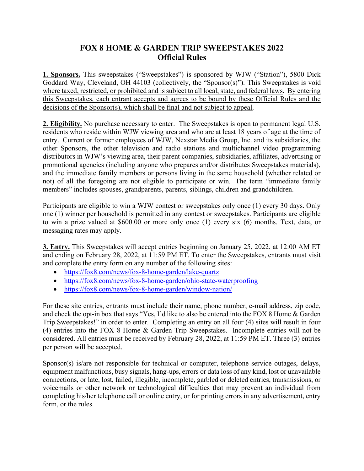## FOX 8 HOME & GARDEN TRIP SWEEPSTAKES 2022 Official Rules

1. Sponsors. This sweepstakes ("Sweepstakes") is sponsored by WJW ("Station"), 5800 Dick Goddard Way, Cleveland, OH 44103 (collectively, the "Sponsor(s)"). This Sweepstakes is void where taxed, restricted, or prohibited and is subject to all local, state, and federal laws. By entering this Sweepstakes, each entrant accepts and agrees to be bound by these Official Rules and the decisions of the Sponsor(s), which shall be final and not subject to appeal.

2. Eligibility. No purchase necessary to enter. The Sweepstakes is open to permanent legal U.S. residents who reside within WJW viewing area and who are at least 18 years of age at the time of entry. Current or former employees of WJW, Nexstar Media Group, Inc. and its subsidiaries, the other Sponsors, the other television and radio stations and multichannel video programming distributors in WJW's viewing area, their parent companies, subsidiaries, affiliates, advertising or promotional agencies (including anyone who prepares and/or distributes Sweepstakes materials), and the immediate family members or persons living in the same household (whether related or not) of all the foregoing are not eligible to participate or win. The term "immediate family members" includes spouses, grandparents, parents, siblings, children and grandchildren.

Participants are eligible to win a WJW contest or sweepstakes only once (1) every 30 days. Only one (1) winner per household is permitted in any contest or sweepstakes. Participants are eligible to win a prize valued at \$600.00 or more only once (1) every six (6) months. Text, data, or messaging rates may apply.

**3. Entry.** This Sweepstakes will accept entries beginning on January 25, 2022, at 12:00 AM ET and ending on February 28, 2022, at 11:59 PM ET. To enter the Sweepstakes, entrants must visit and complete the entry form on any number of the following sites:

- https://fox8.com/news/fox-8-home-garden/lake-quartz
- https://fox8.com/news/fox-8-home-garden/ohio-state-waterproofing
- https://fox8.com/news/fox-8-home-garden/window-nation/

For these site entries, entrants must include their name, phone number, e-mail address, zip code, and check the opt-in box that says "Yes, I'd like to also be entered into the FOX 8 Home & Garden Trip Sweepstakes!" in order to enter. Completing an entry on all four (4) sites will result in four (4) entries into the FOX 8 Home & Garden Trip Sweepstakes. Incomplete entries will not be considered. All entries must be received by February 28, 2022, at 11:59 PM ET. Three (3) entries per person will be accepted.

Sponsor(s) is/are not responsible for technical or computer, telephone service outages, delays, equipment malfunctions, busy signals, hang-ups, errors or data loss of any kind, lost or unavailable connections, or late, lost, failed, illegible, incomplete, garbled or deleted entries, transmissions, or voicemails or other network or technological difficulties that may prevent an individual from completing his/her telephone call or online entry, or for printing errors in any advertisement, entry form, or the rules.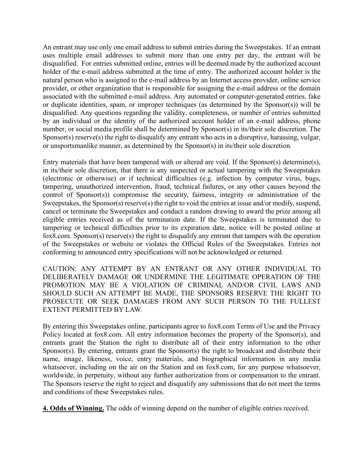An entrant may use only one email address to submit entries during the Sweepstakes. If an entrant uses multiple email addresses to submit more than one entry per day, the entrant will be disqualified. For entries submitted online, entries will be deemed made by the authorized account holder of the e-mail address submitted at the time of entry. The authorized account holder is the natural person who is assigned to the e-mail address by an Internet access provider, online service provider, or other organization that is responsible for assigning the e-mail address or the domain associated with the submitted e-mail address. Any automated or computer-generated entries, fake or duplicate identities, spam, or improper techniques (as determined by the Sponsor(s)) will be disqualified. Any questions regarding the validity, completeness, or number of entries submitted by an individual or the identity of the authorized account holder of an e-mail address, phone number, or social media profile shall be determined by Sponsor(s) in its/their sole discretion. The Sponsor(s) reserve(s) the right to disqualify any entrant who acts in a disruptive, harassing, vulgar, or unsportsmanlike manner, as determined by the Sponsor(s) in its/their sole discretion.

Entry materials that have been tampered with or altered are void. If the Sponsor(s) determine(s), in its/their sole discretion, that there is any suspected or actual tampering with the Sweepstakes (electronic or otherwise) or if technical difficulties (e.g. infection by computer virus, bugs, tampering, unauthorized intervention, fraud, technical failures, or any other causes beyond the control of Sponsor(s)) compromise the security, fairness, integrity or administration of the Sweepstakes, the Sponsor(s) reserve(s) the right to void the entries at issue and/or modify, suspend, cancel or terminate the Sweepstakes and conduct a random drawing to award the prize among all eligible entries received as of the termination date. If the Sweepstakes is terminated due to tampering or technical difficulties prior to its expiration date, notice will be posted online at fox8.com. Sponsor(s) reserve(s) the right to disqualify any entrant that tampers with the operation of the Sweepstakes or website or violates the Official Rules of the Sweepstakes. Entries not conforming to announced entry specifications will not be acknowledged or returned.

CAUTION: ANY ATTEMPT BY AN ENTRANT OR ANY OTHER INDIVIDUAL TO DELIBERATELY DAMAGE OR UNDERMINE THE LEGITIMATE OPERATION OF THE PROMOTION MAY BE A VIOLATION OF CRIMINAL AND/OR CIVIL LAWS AND SHOULD SUCH AN ATTEMPT BE MADE, THE SPONSORS RESERVE THE RIGHT TO PROSECUTE OR SEEK DAMAGES FROM ANY SUCH PERSON TO THE FULLEST EXTENT PERMITTED BY LAW.

By entering this Sweepstakes online, participants agree to fox8.com Terms of Use and the Privacy Policy located at fox8.com. All entry information becomes the property of the Sponsor(s), and entrants grant the Station the right to distribute all of their entry information to the other Sponsor(s). By entering, entrants grant the Sponsor(s) the right to broadcast and distribute their name, image, likeness, voice, entry materials, and biographical information in any media whatsoever, including on the air on the Station and on fox8.com, for any purpose whatsoever, worldwide, in perpetuity, without any further authorization from or compensation to the entrant. The Sponsors reserve the right to reject and disqualify any submissions that do not meet the terms and conditions of these Sweepstakes rules.

4. Odds of Winning. The odds of winning depend on the number of eligible entries received.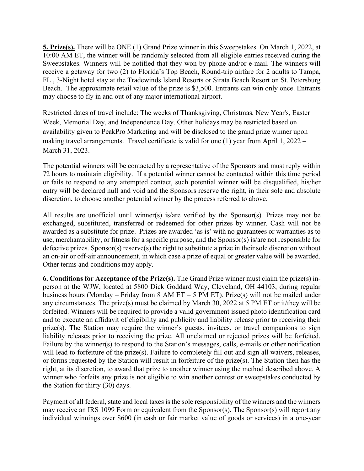5. Prize(s). There will be ONE (1) Grand Prize winner in this Sweepstakes. On March 1, 2022, at 10:00 AM ET, the winner will be randomly selected from all eligible entries received during the Sweepstakes. Winners will be notified that they won by phone and/or e-mail. The winners will receive a getaway for two (2) to Florida's Top Beach, Round-trip airfare for 2 adults to Tampa, FL , 3-Night hotel stay at the Tradewinds Island Resorts or Sirata Beach Resort on St. Petersburg Beach. The approximate retail value of the prize is \$3,500. Entrants can win only once. Entrants may choose to fly in and out of any major international airport.

Restricted dates of travel include: The weeks of Thanksgiving, Christmas, New Year's, Easter Week, Memorial Day, and Independence Day. Other holidays may be restricted based on availability given to PeakPro Marketing and will be disclosed to the grand prize winner upon making travel arrangements. Travel certificate is valid for one (1) year from April 1, 2022 – March 31, 2023.

The potential winners will be contacted by a representative of the Sponsors and must reply within 72 hours to maintain eligibility. If a potential winner cannot be contacted within this time period or fails to respond to any attempted contact, such potential winner will be disqualified, his/her entry will be declared null and void and the Sponsors reserve the right, in their sole and absolute discretion, to choose another potential winner by the process referred to above.

All results are unofficial until winner(s) is/are verified by the Sponsor(s). Prizes may not be exchanged, substituted, transferred or redeemed for other prizes by winner. Cash will not be awarded as a substitute for prize. Prizes are awarded 'as is' with no guarantees or warranties as to use, merchantability, or fitness for a specific purpose, and the Sponsor(s) is/are not responsible for defective prizes. Sponsor(s) reserve(s) the right to substitute a prize in their sole discretion without an on-air or off-air announcement, in which case a prize of equal or greater value will be awarded. Other terms and conditions may apply.

6. Conditions for Acceptance of the Prize(s). The Grand Prize winner must claim the prize(s) inperson at the WJW, located at 5800 Dick Goddard Way, Cleveland, OH 44103, during regular business hours (Monday – Friday from  $8$  AM ET – 5 PM ET). Prize(s) will not be mailed under any circumstances. The prize(s) must be claimed by March 30, 2022 at 5 PM ET or it/they will be forfeited. Winners will be required to provide a valid government issued photo identification card and to execute an affidavit of eligibility and publicity and liability release prior to receiving their prize(s). The Station may require the winner's guests, invitees, or travel companions to sign liability releases prior to receiving the prize. All unclaimed or rejected prizes will be forfeited. Failure by the winner(s) to respond to the Station's messages, calls, e-mails or other notification will lead to forfeiture of the prize(s). Failure to completely fill out and sign all waivers, releases, or forms requested by the Station will result in forfeiture of the prize(s). The Station then has the right, at its discretion, to award that prize to another winner using the method described above. A winner who forfeits any prize is not eligible to win another contest or sweepstakes conducted by the Station for thirty (30) days.

Payment of all federal, state and local taxes is the sole responsibility of the winners and the winners may receive an IRS 1099 Form or equivalent from the Sponsor(s). The Sponsor(s) will report any individual winnings over \$600 (in cash or fair market value of goods or services) in a one-year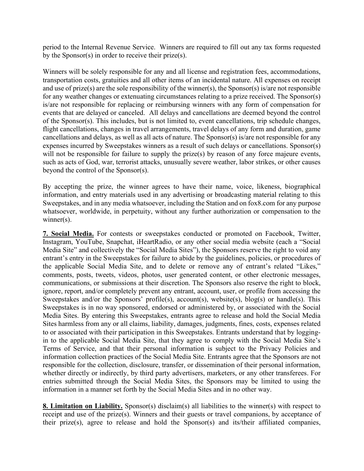period to the Internal Revenue Service. Winners are required to fill out any tax forms requested by the Sponsor(s) in order to receive their prize(s).

Winners will be solely responsible for any and all license and registration fees, accommodations, transportation costs, gratuities and all other items of an incidental nature. All expenses on receipt and use of prize(s) are the sole responsibility of the winner(s), the Sponsor(s) is/are not responsible for any weather changes or extenuating circumstances relating to a prize received. The Sponsor(s) is/are not responsible for replacing or reimbursing winners with any form of compensation for events that are delayed or canceled. All delays and cancellations are deemed beyond the control of the Sponsor(s). This includes, but is not limited to, event cancellations, trip schedule changes, flight cancellations, changes in travel arrangements, travel delays of any form and duration, game cancellations and delays, as well as all acts of nature. The Sponsor(s) is/are not responsible for any expenses incurred by Sweepstakes winners as a result of such delays or cancellations. Sponsor(s) will not be responsible for failure to supply the prize(s) by reason of any force majeure events, such as acts of God, war, terrorist attacks, unusually severe weather, labor strikes, or other causes beyond the control of the Sponsor(s).

By accepting the prize, the winner agrees to have their name, voice, likeness, biographical information, and entry materials used in any advertising or broadcasting material relating to this Sweepstakes, and in any media whatsoever, including the Station and on fox8.com for any purpose whatsoever, worldwide, in perpetuity, without any further authorization or compensation to the winner(s).

7. Social Media. For contests or sweepstakes conducted or promoted on Facebook, Twitter, Instagram, YouTube, Snapchat, iHeartRadio, or any other social media website (each a "Social Media Site" and collectively the "Social Media Sites"), the Sponsors reserve the right to void any entrant's entry in the Sweepstakes for failure to abide by the guidelines, policies, or procedures of the applicable Social Media Site, and to delete or remove any of entrant's related "Likes," comments, posts, tweets, videos, photos, user generated content, or other electronic messages, communications, or submissions at their discretion. The Sponsors also reserve the right to block, ignore, report, and/or completely prevent any entrant, account, user, or profile from accessing the Sweepstakes and/or the Sponsors' profile(s), account(s), website(s), blog(s) or handle(s). This Sweepstakes is in no way sponsored, endorsed or administered by, or associated with the Social Media Sites. By entering this Sweepstakes, entrants agree to release and hold the Social Media Sites harmless from any or all claims, liability, damages, judgments, fines, costs, expenses related to or associated with their participation in this Sweepstakes. Entrants understand that by loggingin to the applicable Social Media Site, that they agree to comply with the Social Media Site's Terms of Service, and that their personal information is subject to the Privacy Policies and information collection practices of the Social Media Site. Entrants agree that the Sponsors are not responsible for the collection, disclosure, transfer, or dissemination of their personal information, whether directly or indirectly, by third party advertisers, marketers, or any other transferees. For entries submitted through the Social Media Sites, the Sponsors may be limited to using the information in a manner set forth by the Social Media Sites and in no other way.

8. Limitation on Liability. Sponsor(s) disclaim(s) all liabilities to the winner(s) with respect to receipt and use of the prize(s). Winners and their guests or travel companions, by acceptance of their prize(s), agree to release and hold the Sponsor(s) and its/their affiliated companies,